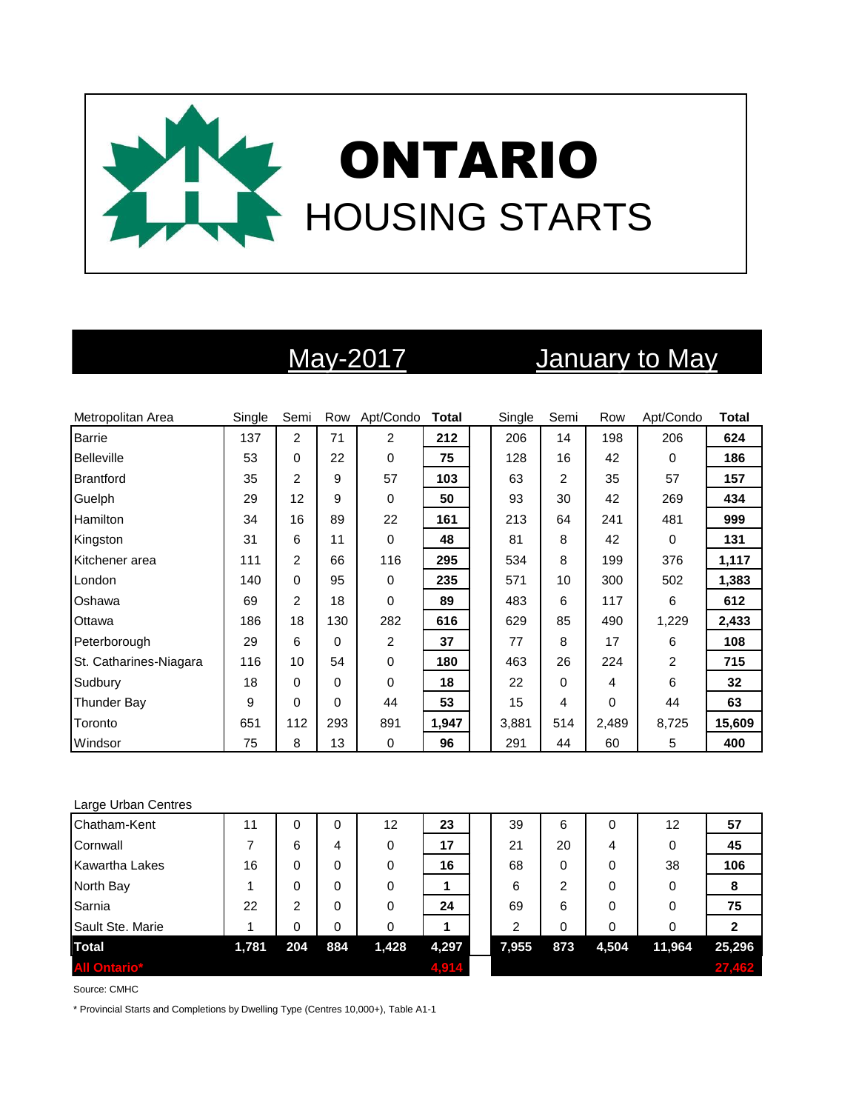

# May-2017 January to May

| Metropolitan Area      | Single | Semi           |          | Row Apt/Condo  | <b>Total</b> | Single | Semi | Row   | Apt/Condo      | <b>Total</b> |
|------------------------|--------|----------------|----------|----------------|--------------|--------|------|-------|----------------|--------------|
| <b>Barrie</b>          | 137    | $\overline{c}$ | 71       | 2              | 212          | 206    | 14   | 198   | 206            | 624          |
| Belleville             | 53     | 0              | 22       | 0              | 75           | 128    | 16   | 42    | $\Omega$       | 186          |
| <b>Brantford</b>       | 35     | 2              | 9        | 57             | 103          | 63     | 2    | 35    | 57             | 157          |
| Guelph                 | 29     | 12             | 9        | 0              | 50           | 93     | 30   | 42    | 269            | 434          |
| Hamilton               | 34     | 16             | 89       | 22             | 161          | 213    | 64   | 241   | 481            | 999          |
| Kingston               | 31     | 6              | 11       | 0              | 48           | 81     | 8    | 42    | $\Omega$       | 131          |
| Kitchener area         | 111    | $\overline{2}$ | 66       | 116            | 295          | 534    | 8    | 199   | 376            | 1,117        |
| London                 | 140    | 0              | 95       | 0              | 235          | 571    | 10   | 300   | 502            | 1,383        |
| Oshawa                 | 69     | 2              | 18       | 0              | 89           | 483    | 6    | 117   | 6              | 612          |
| Ottawa                 | 186    | 18             | 130      | 282            | 616          | 629    | 85   | 490   | 1,229          | 2,433        |
| Peterborough           | 29     | 6              | $\Omega$ | $\overline{c}$ | 37           | 77     | 8    | 17    | 6              | 108          |
| St. Catharines-Niagara | 116    | 10             | 54       | 0              | 180          | 463    | 26   | 224   | $\overline{2}$ | 715          |
| Sudbury                | 18     | 0              | $\Omega$ | 0              | 18           | 22     | 0    | 4     | 6              | 32           |
| Thunder Bay            | 9      | 0              | $\Omega$ | 44             | 53           | 15     | 4    | 0     | 44             | 63           |
| Toronto                | 651    | 112            | 293      | 891            | 1,947        | 3,881  | 514  | 2,489 | 8,725          | 15,609       |
| Windsor                | 75     | 8              | 13       | 0              | 96           | 291    | 44   | 60    | 5              | 400          |

### Large Urban Centres

| Chatham-Kent          | 11    | 0   | 0   | 12    | 23    | 39    | 6        | 0     | 12     | 57     |
|-----------------------|-------|-----|-----|-------|-------|-------|----------|-------|--------|--------|
| Cornwall              |       | 6   | 4   | 0     | 17    | 21    | 20       | 4     | 0      | 45     |
| <b>Kawartha Lakes</b> | 16    | 0   | 0   | 0     | 16    | 68    | 0        | 0     | 38     | 106    |
| North Bay             |       | 0   | 0   | 0     |       | 6     | 2        | 0     | 0      | 8      |
| Sarnia                | 22    | 2   | 0   | 0     | 24    | 69    | 6        | 0     | 0      | 75     |
| Sault Ste. Marie      |       | 0   | 0   | 0     |       | 2     | $\Omega$ | 0     | 0      |        |
| <b>Total</b>          | 1,781 | 204 | 884 | 1,428 | 4,297 | 7,955 | 873      | 4,504 | 11,964 | 25,296 |
| <b>All Ontario*</b>   |       |     |     |       | 4.914 |       |          |       |        | 27,462 |

Source: CMHC

\* Provincial Starts and Completions by Dwelling Type (Centres 10,000+), Table A1-1